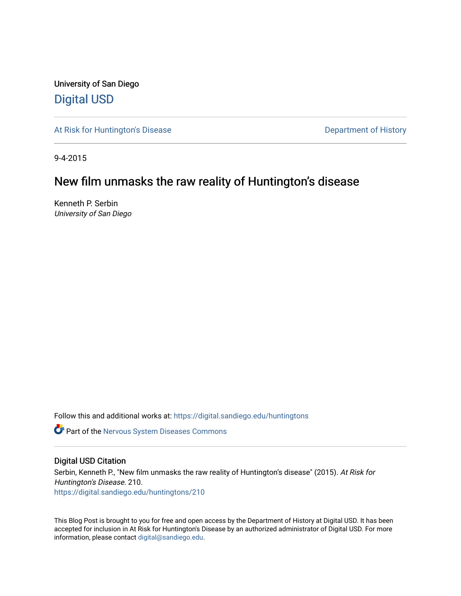University of San Diego [Digital USD](https://digital.sandiego.edu/)

[At Risk for Huntington's Disease](https://digital.sandiego.edu/huntingtons) **Department of History** Department of History

9-4-2015

## New film unmasks the raw reality of Huntington's disease

Kenneth P. Serbin University of San Diego

Follow this and additional works at: [https://digital.sandiego.edu/huntingtons](https://digital.sandiego.edu/huntingtons?utm_source=digital.sandiego.edu%2Fhuntingtons%2F210&utm_medium=PDF&utm_campaign=PDFCoverPages)

**C** Part of the [Nervous System Diseases Commons](http://network.bepress.com/hgg/discipline/928?utm_source=digital.sandiego.edu%2Fhuntingtons%2F210&utm_medium=PDF&utm_campaign=PDFCoverPages)

### Digital USD Citation

Serbin, Kenneth P., "New film unmasks the raw reality of Huntington's disease" (2015). At Risk for Huntington's Disease. 210. [https://digital.sandiego.edu/huntingtons/210](https://digital.sandiego.edu/huntingtons/210?utm_source=digital.sandiego.edu%2Fhuntingtons%2F210&utm_medium=PDF&utm_campaign=PDFCoverPages)

This Blog Post is brought to you for free and open access by the Department of History at Digital USD. It has been accepted for inclusion in At Risk for Huntington's Disease by an authorized administrator of Digital USD. For more information, please contact [digital@sandiego.edu.](mailto:digital@sandiego.edu)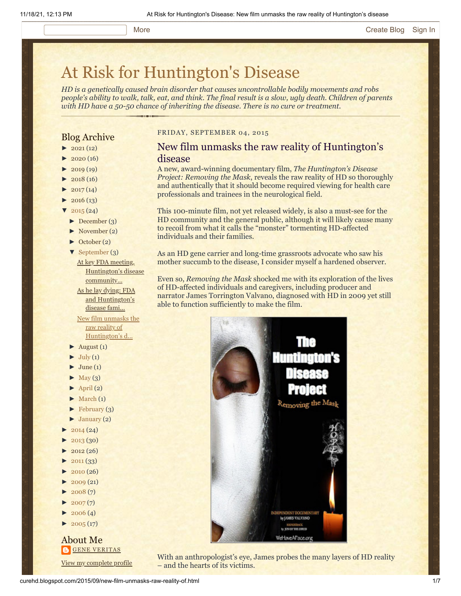# [At Risk for Huntington's Disease](http://curehd.blogspot.com/)

*HD is a genetically caused brain disorder that causes uncontrollable bodily movements and robs people's ability to walk, talk, eat, and think. The final result is a slow, ugly death. Children of parents with HD have a 50-50 chance of inheriting the disease. There is no cure or treatment.*

### Blog Archive

- $\blacktriangleright$  [2021](http://curehd.blogspot.com/2021/) (12)
- $2020(16)$  $2020(16)$
- $2019(19)$  $2019(19)$
- $2018(16)$  $2018(16)$
- $2017(14)$  $2017(14)$
- $2016(13)$  $2016(13)$
- $'$  [2015](http://curehd.blogspot.com/2015/) (24)
- [►](javascript:void(0)) [December](http://curehd.blogspot.com/2015/12/) (3)
- [►](javascript:void(0)) [November](http://curehd.blogspot.com/2015/11/) (2)
- [►](javascript:void(0)) [October](http://curehd.blogspot.com/2015/10/) (2)
- [▼](javascript:void(0)) [September](http://curehd.blogspot.com/2015/09/) (3)

At key FDA meeting, [Huntington's](http://curehd.blogspot.com/2015/09/at-key-fda-meeting-huntingtons-disease.html) disease community... As he lay dying: FDA and [Huntington's](http://curehd.blogspot.com/2015/09/as-he-lay-dying-fda-and-huntingtons.html) disease fami...

New film unmasks the raw reality of [Huntington's](http://curehd.blogspot.com/2015/09/new-film-unmasks-raw-reality-of.html) d...

- $\blacktriangleright$  [August](http://curehd.blogspot.com/2015/08/) (1)
- $\blacktriangleright$  [July](http://curehd.blogspot.com/2015/07/) (1)
- $June (1)$  $June (1)$
- $\blacktriangleright$  [May](http://curehd.blogspot.com/2015/05/) (3)
- $\blacktriangleright$  [April](http://curehd.blogspot.com/2015/04/) (2)
- $\blacktriangleright$  [March](http://curehd.blogspot.com/2015/03/)  $(1)$
- $\blacktriangleright$  [February](http://curehd.blogspot.com/2015/02/) (3)
- $\blacktriangleright$  [January](http://curehd.blogspot.com/2015/01/) (2)
- $2014(24)$  $2014(24)$
- [►](javascript:void(0)) [2013](http://curehd.blogspot.com/2013/) (30)
- $2012(26)$  $2012(26)$
- $2011(33)$  $2011(33)$
- $2010(26)$  $2010(26)$
- $2009(21)$  $2009(21)$
- $2008(7)$  $2008(7)$
- $2007(7)$  $2007(7)$
- $\blacktriangleright$  [2006](http://curehd.blogspot.com/2006/) (4)
- $\blacktriangleright$  [2005](http://curehd.blogspot.com/2005/) (17)

### About Me **GENE [VERITAS](https://www.blogger.com/profile/10911736205741688185)**

View my [complete](https://www.blogger.com/profile/10911736205741688185) profile

### FRIDAY, SEPTEMBER 04, 2015

### New film unmasks the raw reality of Huntington's disease

A new, award-winning documentary film, *The Huntington's Disease Project: Removing the Mask*, reveals the raw reality of HD so thoroughly and authentically that it should become required viewing for health care professionals and trainees in the neurological field.

This 100-minute film, not yet released widely, is also a must-see for the HD community and the general public, although it will likely cause many to recoil from what it calls the "monster" tormenting HD-affected individuals and their families.

As an HD gene carrier and long-time grassroots advocate who saw his mother succumb to the disease, I consider myself a hardened observer.

Even so, *Removing the Mask* shocked me with its exploration of the lives of HD-affected individuals and caregivers, including producer and narrator James Torrington Valvano, diagnosed with HD in 2009 yet still able to function sufficiently to make the film.



With an anthropologist's eye, James probes the many layers of HD reality – and the hearts of its victims.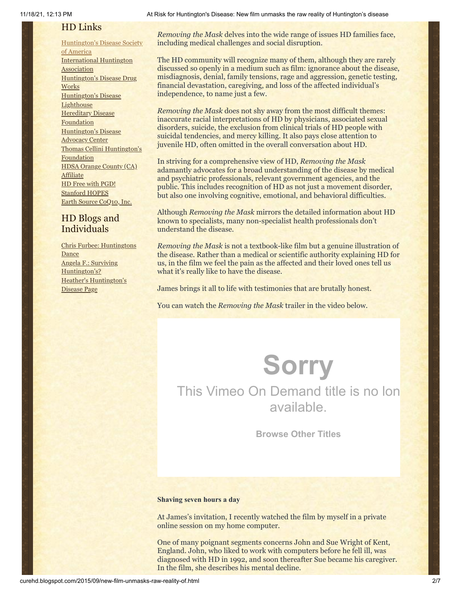### HD Links

[Huntington's](http://www.hdsa.org/) Disease Society of America [International](http://www.huntington-assoc.com/) Huntington **Association** [Huntington's](http://hddrugworks.org/) Disease Drug **Works** [Huntington's](http://www.hdlighthouse.org/) Disease **Lighthouse Hereditary Disease [Foundation](http://www.hdfoundation.org/)** [Huntington's](http://www.hdac.org/) Disease Advocacy Center Thomas [Cellini Huntington's](http://www.ourtchfoundation.org/) **Foundation** HDSA Orange County (CA) **[Affiliate](http://www.hdsaoc.org/)** HD Free with [PGD!](http://www.hdfreewithpgd.com/) [Stanford](http://www.stanford.edu/group/hopes/) HOPES Earth Source [CoQ10,](http://www.escoq10.com/) Inc.

### HD Blogs and Individuals

Chris Furbee: [Huntingtons](http://www.huntingtonsdance.org/) **Dance** Angela F.: Surviving [Huntington's?](http://survivinghuntingtons.blogspot.com/) Heather's [Huntington's](http://heatherdugdale.angelfire.com/) Disease Page

*Removing the Mask* delves into the wide range of issues HD families face, including medical challenges and social disruption.

The HD community will recognize many of them, although they are rarely discussed so openly in a medium such as film: ignorance about the disease, misdiagnosis, denial, family tensions, rage and aggression, genetic testing, financial devastation, caregiving, and loss of the affected individual's independence, to name just a few.

*Removing the Mask* does not shy away from the most difficult themes: inaccurate racial interpretations of HD by physicians, associated sexual disorders, suicide, the exclusion from clinical trials of HD people with suicidal tendencies, and mercy killing. It also pays close attention to juvenile HD, often omitted in the overall conversation about HD.

In striving for a comprehensive view of HD, *Removing the Mask* adamantly advocates for a broad understanding of the disease by medical and psychiatric professionals, relevant government agencies, and the public. This includes recognition of HD as not just a movement disorder, but also one involving cognitive, emotional, and behavioral difficulties.

Although *Removing the Mask* mirrors the detailed information about HD known to specialists, many non-specialist health professionals don't understand the disease.

*Removing the Mask* is not a textbook-like film but a genuine illustration of the disease. Rather than a medical or scientific authority explaining HD for us, in the film we feel the pain as the affected and their loved ones tell us what it's really like to have the disease.

James brings it all to life with testimonies that are brutally honest.

You can watch the *Removing the Mask* trailer in the video below.

**Sorry** This Vimeo On Demand title is no lon available.

**[Browse Other Titles](https://vimeo.com/ondemand)**

### **Shaving seven hours a day**

At James's invitation, I recently watched the film by myself in a private online session on my home computer.

One of many poignant segments concerns John and Sue Wright of Kent, England. John, who liked to work with computers before he fell ill, was diagnosed with HD in 1992, and soon thereafter Sue became his caregiver. In the film, she describes his mental decline.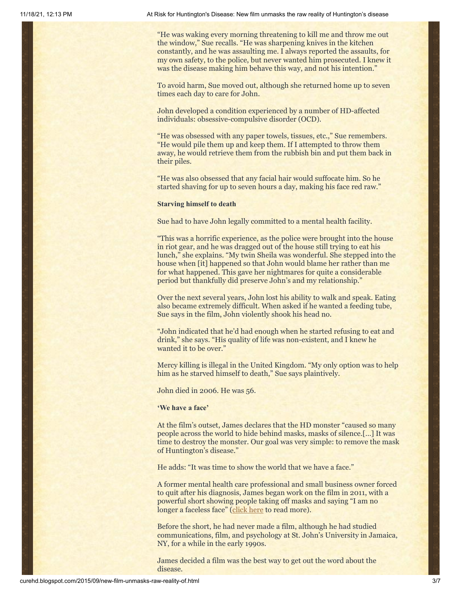"He was waking every morning threatening to kill me and throw me out the window," Sue recalls. "He was sharpening knives in the kitchen constantly, and he was assaulting me. I always reported the assaults, for my own safety, to the police, but never wanted him prosecuted. I knew it was the disease making him behave this way, and not his intention."

To avoid harm, Sue moved out, although she returned home up to seven times each day to care for John.

John developed a condition experienced by a number of HD-affected individuals: obsessive-compulsive disorder (OCD).

"He was obsessed with any paper towels, tissues, etc.," Sue remembers. "He would pile them up and keep them. If I attempted to throw them away, he would retrieve them from the rubbish bin and put them back in their piles.

"He was also obsessed that any facial hair would suffocate him. So he started shaving for up to seven hours a day, making his face red raw."

#### **Starving himself to death**

Sue had to have John legally committed to a mental health facility.

"This was a horrific experience, as the police were brought into the house in riot gear, and he was dragged out of the house still trying to eat his lunch," she explains. "My twin Sheila was wonderful. She stepped into the house when [it] happened so that John would blame her rather than me for what happened. This gave her nightmares for quite a considerable period but thankfully did preserve John's and my relationship."

Over the next several years, John lost his ability to walk and speak. Eating also became extremely difficult. When asked if he wanted a feeding tube, Sue says in the film, John violently shook his head no.

"John indicated that he'd had enough when he started refusing to eat and drink," she says. "His quality of life was non-existent, and I knew he wanted it to be over."

Mercy killing is illegal in the United Kingdom. "My only option was to help him as he starved himself to death," Sue says plaintively.

John died in 2006. He was 56.

#### **'We have a face'**

At the film's outset, James declares that the HD monster "caused so many people across the world to hide behind masks, masks of silence.[…] It was time to destroy the monster. Our goal was very simple: to remove the mask of Huntington's disease."

He adds: "It was time to show the world that we have a face."

A former mental health care professional and small business owner forced to quit after his diagnosis, James began work on the film in 2011, with a powerful short showing people taking off masks and saying "I am no longer a faceless face" ([click here](http://curehd.blogspot.com/2011/04/faceless-faces-of-huntingtons-disease.html) to read more).

Before the short, he had never made a film, although he had studied communications, film, and psychology at St. John's University in Jamaica, NY, for a while in the early 1990s.

James decided a film was the best way to get out the word about the disease.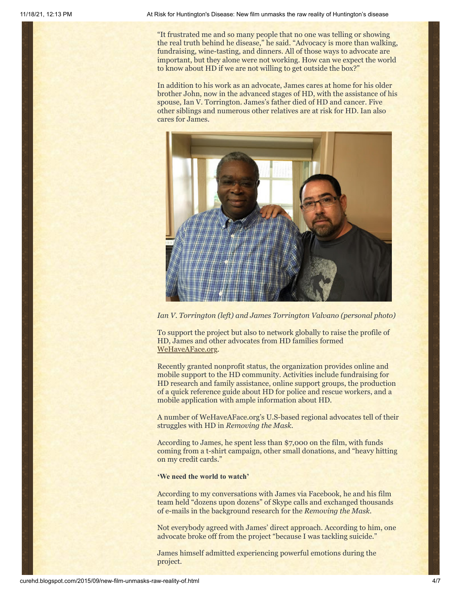"It frustrated me and so many people that no one was telling or showing the real truth behind he disease," he said. "Advocacy is more than walking, fundraising, wine-tasting, and dinners. All of those ways to advocate are important, but they alone were not working. How can we expect the world to know about HD if we are not willing to get outside the box?"

In addition to his work as an advocate, James cares at home for his older brother John, now in the advanced stages of HD, with the assistance of his spouse, Ian V. Torrington. James's father died of HD and cancer. Five other siblings and numerous other relatives are at risk for HD. Ian also cares for James.



*Ian V. Torrington (left) and James Torrington Valvano (personal photo)*

To support the project but also to network globally to raise the profile of HD, James and other advocates from HD families formed [WeHaveAFace.org.](http://wehaveaface.org/)

Recently granted nonprofit status, the organization provides online and mobile support to the HD community. Activities include fundraising for HD research and family assistance, online support groups, the production of a quick reference guide about HD for police and rescue workers, and a mobile application with ample information about HD.

A number of WeHaveAFace.org's U.S-based regional advocates tell of their struggles with HD in *Removing the Mask.*

According to James, he spent less than \$7,000 on the film, with funds coming from a t-shirt campaign, other small donations, and "heavy hitting on my credit cards."

**'We need the world to watch'**

According to my conversations with James via Facebook, he and his film team held "dozens upon dozens" of Skype calls and exchanged thousands of e-mails in the background research for the *Removing the Mask.*

Not everybody agreed with James' direct approach. According to him, one advocate broke off from the project "because I was tackling suicide."

James himself admitted experiencing powerful emotions during the project.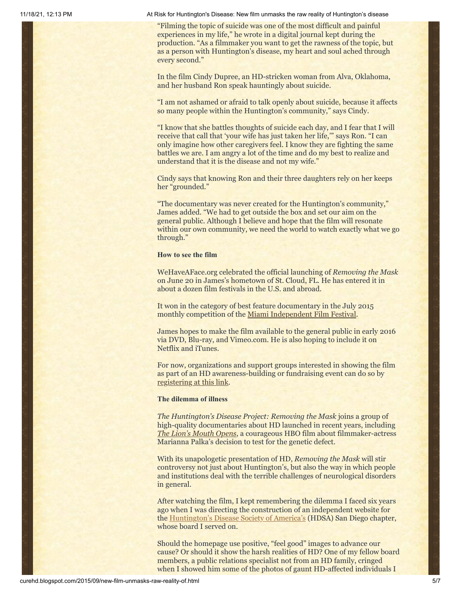11/18/21, 12:13 PM At Risk for Huntington's Disease: New film unmasks the raw reality of Huntington's disease

"Filming the topic of suicide was one of the most difficult and painful experiences in my life," he wrote in a digital journal kept during the production. "As a filmmaker you want to get the rawness of the topic, but as a person with Huntington's disease, my heart and soul ached through every second."

In the film Cindy Dupree, an HD-stricken woman from Alva, Oklahoma, and her husband Ron speak hauntingly about suicide.

"I am not ashamed or afraid to talk openly about suicide, because it affects so many people within the Huntington's community," says Cindy.

"I know that she battles thoughts of suicide each day, and I fear that I will receive that call that 'your wife has just taken her life,'" says Ron. "I can only imagine how other caregivers feel. I know they are fighting the same battles we are. I am angry a lot of the time and do my best to realize and understand that it is the disease and not my wife."

Cindy says that knowing Ron and their three daughters rely on her keeps her "grounded."

"The documentary was never created for the Huntington's community," James added. "We had to get outside the box and set our aim on the general public. Although I believe and hope that the film will resonate within our own community, we need the world to watch exactly what we go through."

### **How to see the film**

WeHaveAFace.org celebrated the official launching of *Removing the Mask* on June 20 in James's hometown of St. Cloud, FL. He has entered it in about a dozen film festivals in the U.S. and abroad.

It won in the category of best feature documentary in the July 2015 monthly competition of the [Miami Independent Film Festival](http://miamindiefest.com/winners-mindie-july-2015/).

James hopes to make the film available to the general public in early 2016 via DVD, Blu-ray, and Vimeo.com. He is also hoping to include it on Netflix and iTunes.

For now, organizations and support groups interested in showing the film as part of an HD awareness-building or fundraising event can do so by [registering at this link.](http://www.wehaveaface.org/#!register/c1m9a)

#### **The dilemma of illness**

*The Huntington's Disease Project: Removing the Mask* joins a group of high-quality documentaries about HD launched in recent years, including *[The Lion's Mouth Opens](http://www.huffingtonpost.com/kenneth-p-serbin/huntingtons-disease_b_7472784.html)*, a courageous HBO film about filmmaker-actress Marianna Palka's decision to test for the genetic defect.

With its unapologetic presentation of HD, *Removing the Mask* will stir controversy not just about Huntington's, but also the way in which people and institutions deal with the terrible challenges of neurological disorders in general.

After watching the film, I kept remembering the dilemma I faced six years ago when I was directing the construction of an independent website for the [Huntington's Disease Society of America's](http://www.hdsa.org/) (HDSA) San Diego chapter, whose board I served on.

Should the homepage use positive, "feel good" images to advance our cause? Or should it show the harsh realities of HD? One of my fellow board members, a public relations specialist not from an HD family, cringed when I showed him some of the photos of gaunt HD-affected individuals I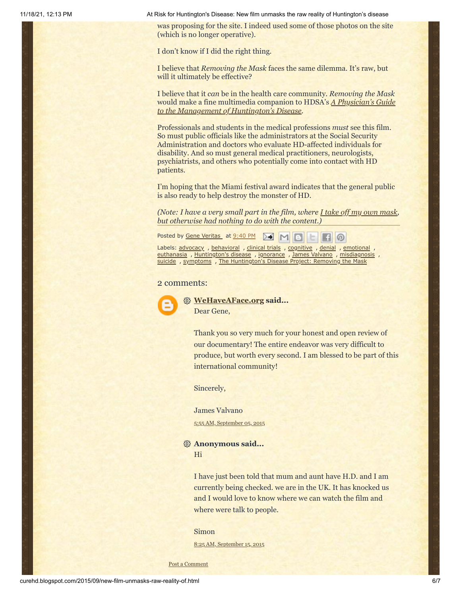11/18/21, 12:13 PM At Risk for Huntington's Disease: New film unmasks the raw reality of Huntington's disease

was proposing for the site. I indeed used some of those photos on the site (which is no longer operative).

I don't know if I did the right thing.

I believe that *Removing the Mask* faces the same dilemma. It's raw, but will it ultimately be effective?

I believe that it *can* be in the health care community. *Removing the Mask* [would make a fine multimedia companion to HDSA's](http://hdsa.org/wp-content/uploads/2015/03/PhysiciansGuide_3rd-Edition.pdf) *A Physician's Guide to the Management of Huntington's Disease*.

Professionals and students in the medical professions *must* see this film. So must public officials like the administrators at the Social Security Administration and doctors who evaluate HD-affected individuals for disability. And so must general medical practitioners, neurologists, psychiatrists, and others who potentially come into contact with HD patients.

I'm hoping that the Miami festival award indicates that the general public is also ready to help destroy the monster of HD.

*(Note: I have a very small part in the film, where [I take off my own mask,](https://vimeo.com/21860153) but otherwise had nothing to do with the content.)*

Posted by Gene [Veritas](https://www.blogger.com/profile/03599828959793084715) at [9:40](http://curehd.blogspot.com/2015/09/new-film-unmasks-raw-reality-of.html) PM  $\triangleright$  $M$ 

Labels: [advocacy](http://curehd.blogspot.com/search/label/advocacy) , [behavioral](http://curehd.blogspot.com/search/label/behavioral) , [clinical](http://curehd.blogspot.com/search/label/clinical%20trials) trials , [cognitive](http://curehd.blogspot.com/search/label/cognitive) , [denial](http://curehd.blogspot.com/search/label/denial) , [emotional](http://curehd.blogspot.com/search/label/emotional) [euthanasia](http://curehd.blogspot.com/search/label/euthanasia) , [Huntington's](http://curehd.blogspot.com/search/label/Huntington%27s%20disease) disease , [ignorance](http://curehd.blogspot.com/search/label/ignorance) , James [Valvano](http://curehd.blogspot.com/search/label/James%20Valvano) , [misdiagnosis](http://curehd.blogspot.com/search/label/misdiagnosis) , [suicide](http://curehd.blogspot.com/search/label/suicide), [symptoms](http://curehd.blogspot.com/search/label/symptoms), The [Huntington's](http://curehd.blogspot.com/search/label/The%20Huntington%27s%20Disease%20Project%3A%20Removing%20the%20Mask) Disease Project: Removing the Mask

### 2 comments:



**[WeHaveAFace.org](https://www.blogger.com/profile/01004356818345061937) said...** Dear Gene,

> Thank you so very much for your honest and open review of our documentary! The entire endeavor was very difficult to produce, but worth every second. I am blessed to be part of this international community!

Sincerely,

James Valvano

5:55 AM, [September](http://curehd.blogspot.com/2015/09/new-film-unmasks-raw-reality-of.html?showComment=1441457725926#c47428135534112463) 05, 2015

**Anonymous said...** Hi

> I have just been told that mum and aunt have H.D. and I am currently being checked. we are in the UK. It has knocked us and I would love to know where we can watch the film and where were talk to people.

#### Simon

8:25 AM, [September](http://curehd.blogspot.com/2015/09/new-film-unmasks-raw-reality-of.html?showComment=1442330749839#c4177481424703255231) 15, 2015

Post a [Comment](https://www.blogger.com/comment.g?blogID=10081281&postID=4896666110695402987&isPopup=true)